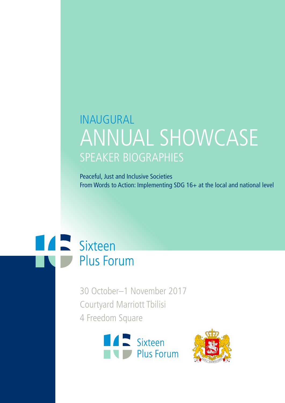# INAUGURAL ANNUAL SHOWCASE SPEAKER BIOGRAPHIES

Peaceful, Just and Inclusive Societies From Words to Action: Implementing SDG 16+ at the local and national level



30 October–1 November 2017 Courtyard Marriott Tbilisi 4 Freedom Square



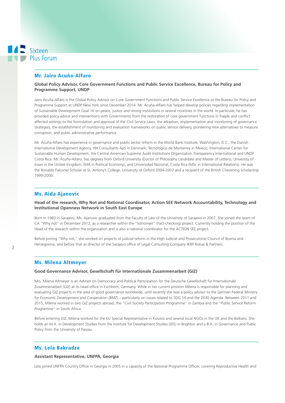# Mr. Jairo Acuña-Alfaro

**Global Policy Advisor, Core Government Functions and Public Service Excellence, Bureau for Policy and Programme Support, UNDP**

Jairo Acuña-Alfaro is the Global Policy Advisor on Core Government Functions and Public Service Excellence at the Bureau for Policy and Programme Support at UNDP New York since December 2014. Mr. Acuña-Alfaro has helped develop policies regarding implementation of Sustainable Development Goal 16 on peace, justice and strong institutions in several countries in the world. In particular, he has provided policy advice and interventions with Governments from the restoration of core government functions in fragile and conflict affected settings to the formulation and approval of the Civil Service Laws, the adoption, implementation and monitoring of governance strategies, the establishment of monitoring and evaluation frameworks on public service delivery, pioneering new alternatives to measure corruption, and public administrative performance.

Mr. Acuña-Alfaro has experience in governance and public sector reform in the World Bank Institute, Washington, D.C.; the Danish International Development Agency, HN Consultants ApS in Denmark; Tecnológico de Monterrey in Mexico; International Center for Sustainable Human Development, the Central American Supreme Audit Institutions Organization Transparency International and UNDP Costa Rica. Mr. Acuña-Alfaro, has degrees from Oxford University (Doctor of Philosophy candidate and Master of Letters), University of Essex in the United Kingdom, (MA in Political Economy), and Universidad Nacional, Costa Rica (MSc in International Relations). He was the Ronaldo Falconer Scholar at St. Antony's College, University of Oxford 2004-2007 and a recipient of the British Chevening scholarship 1999-2000.

# Ms. Aida Ajanovic

#### **Head of the research, Why Not and National Coordinator, Action SEE Network Accountability, Technology and Institutional Openness Network in South East Europe**

Born in 1983 in Sarajevo, Ms. Ajanovic graduated from the Faculty of Law of the University of Sarajevo in 2007. She joined the team of CA "Why not" in December 2012, as a researcher within the "Istinomjer" (Fact-checking) project. Currently holding the position of the Head of the research within the organization and is also a national coordinator for the ACTION SEE project.

Before joining "Why not," she worked on projects of judicial reform in the High Judicial and Prosecutorial Council of Bosnia and Herzegovina, and before that as director of the Sarajevo office of Legal-Consulting Company IKRP Rokas & Partners.

# Ms. Milena Altmeyer

#### **Good Governance Advisor, Gesellschaft für Internationale Zusammenarbeit (GIZ)**

Mrs. Milena Altmeyer is an Advisor on Democracy and Political Participation for the Deutsche Gesellschaft für Internationale Zusammenarbeit (GIZ) at its head office in Eschborn, Germany. While in her current position Milena is responsible for planning and evaluating GIZ projects in the area of good governance worldwide, until recently she was a policy advisor to the German Federal Ministry for Economic Development and Cooperation (BMZ) – particularly on issues related to SDG 16 and the 2030 Agenda. Between 2011 and 2015, Milena worked in two GIZ projects abroad, the "Civil Society Participation Programme" in Zambia and the "Public Service Reform Programme" in South Africa.

Before entering GIZ, Milena worked for the EU Special Representative in Kosovo and several local NGOs in the UK and the Balkans. She holds an M.A. in Development Studies from the Institute for Development Studies (IDS) in Brighton and a B.A. in Governance and Public Policy from the University of Passau.

# Ms. Lela Bakradze

#### **Assistant Representative, UNFPA, Georgia**

Lela joined UNFPA Country Office in Georgia in 2005 in a capacity of the National Programme Officer, covering Reproductive Health and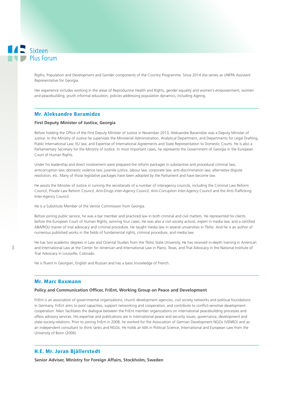Rigths, Population and Development and Gender components of the Country Programme. Since 2014 she serves as UNFPA Assistant Representative for Georgia.

Her experience includes working in the areas of Reproductive Health and Rights, gender equality and women's empowerment, women and peacebuilding, youth informal education, policies addressing population dynamics, including Ageing.

# Mr. Aleksandre Baramidze

# **First Deputy Minister of Justice, Georgia**

Before holding the Office of the First Deputy Minister of Justice in November 2013, Aleksandre Baramidze was a Deputy Minister of Justice. In the Ministry of Justice he supervises the Ministerial Administration, Analytical Department, and Departments for Legal Drafting, Public International Law, EU law, and Expertise of International Agreements and State Representation to Domestic Courts. He is also a Parliamentary Secretary for the Ministry of Justice. In most important cases, he represents the Government of Georgia in the European Court of Human Rights.

Under his leadership and direct involvement were prepared the reform packages in substantive and procedural criminal law, anticorruption law, domestic violence law, juvenile justice, labour law, corporate law, anti-discrimination law, alternative dispute resolution, etc. Many of those legislative packages have been adopted by the Parliament and have become law.

He assists the Minister of Justice in running the secretariats of a number of interagency councils, including the Criminal Law Reform Council, Private Law Reform Council, Anti-Drugs Inter-Agency Council, Anti-Corruption Inter-Agency Council and the Anti-Trafficking Inter-Agency Council.

He is a Substitute Member of the Venice Commission from Georgia.

Before joining public service, he was a bar member and practiced law in both criminal and civil matters. He represented his clients before the European Court of Human Rights, winning four cases. He was also a civil society activist, expert in media law, and a certified ABA/ROLI trainer of trial advocacy and criminal procedure. He taught media law in several universities in Tbilisi. And he is an author of numerous published works in the fields of fundamental rights, criminal procedure, and media law.

He has two academic degrees in Law and Oriental Studies from the Tbilisi State University. He has received in-depth training in American and International Law at the Center for American and International Law in Plano, Texas, and Trial Advocacy in the National Institute of Trial Advocacy in Louisville, Colorado.

He is fluent in Georgian, English and Russian and has a basic knowledge of French.

# Mr. Marc Baxmann

#### **Policy and Communication Officer, FriEnt, Working Group on Peace and Development**

FriEnt is an association of governmental organizations, church development agencies, civil society networks and political foundations in Germany. FriEnt aims to pool capacities, support networking and cooperation, and contribute to conflict-sensitive development cooperation. Marc facilitates the dialogue between the FriEnt member organizations on international peacebuilding processes and offers advisory services. His expertise and publications are in international peace and security issues, governance, development and state-society-relations. Prior to joining FriEnt in 2008, he worked for the Association of German Development NGOs (VENRO) and as an independent consultant to think tanks and NGOs. He holds an MA in Political Science, International and European Law from the University of Bonn (2006).

### H.E. Mr. Joran Bjällerstedt

**Senior Adviser, Ministry for Foreign Affairs, Stockholm, Sweden**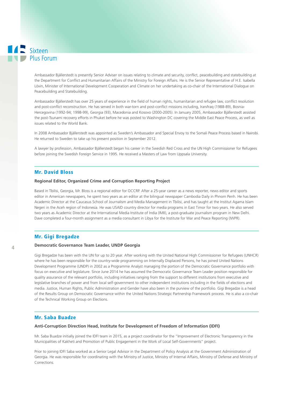Ambassador Bjällerstedt is presently Senior Adviser on issues relating to climate and security, conflict, peacebuilding and statebuilding at the Department for Conflict and Humanitarian Affairs of the Ministry for Foreign Affairs. He is the Senior Representative of H.E. Isabella Lövin, Minister of International Development Cooperation and Climate on her undertaking as co-chair of the International Dialogue on Peacebuilding and Statebuilding.

Ambassador Bjällerstedt has over 25 years of experience in the field of human rights, humanitarian and refugee law, conflict resolution and post-conflict reconstruction. He has served in both war-torn and post-conflict missions including, Iran/Iraq (1988-89), Bosnia-Hercegovina (1992-94; 1998-99), Georgia (93), Macedonia and Kosovo (2000-2005). In January 2005, Ambassador Bjällerstedt assisted the post-Tsunami recovery efforts in Phuket before he was posted to Washington DC covering the Middle East Peace Process, as well as issues related to the World Bank.

In 2008 Ambassador Bjällerstedt was appointed as Sweden's Ambassador and Special Envoy to the Somali Peace Process based in Nairobi. He returned to Sweden to take up his present position in September 2012.

A lawyer by profession, Ambassador Bjällerstedt began his career in the Swedish Red Cross and the UN High Commissioner for Refugees before joining the Swedish Foreign Service in 1995. He received a Masters of Law from Uppsala University.

# Mr. David Bloss

#### **Regional Editor, Organized Crime and Corruption Reporting Project**

Based in Tbilisi, Georgia, Mr. Bloss is a regional editor for OCCRP. After a 25-year career as a news reporter, news editor and sports editor in American newspapers, he spent two years as an editor at the bilingual newspaper Cambodia Daily in Phnom Penh. He has been Academic Director at the Caucasus School of Journalism and Media Management in Tbilisi, and has taught at the Institut Agama Islam Negeri in the Aceh region of Indonesia. He was USAID country director for media programs in East Timor for two years. He also served two years as Academic Director at the International Media Institute of India (IMII), a post-graduate journalism program in New Delhi. Dave completed a four-month assignment as a media consultant in Libya for the Institute for War and Peace Reporting (IWPR).

# Mr. Gigi Bregadze

#### **Democratic Governance Team Leader, UNDP Georgia**

Gigi Bregadze has been with the UN for up to 20 year. After working with the United National High Commissioner for Refugees (UNHCR) where he has been responsible for the country-wide programming on Internally Displaced Persons, he has joined United Nations Development Programme (UNDP) in 2002 as a Programme Analyst managing the portion of the Democratic Governance portfolio with focus on executive and legislature. Since June 2014 he has assumed the Democratic Governance Team Leader position responsible for quality assurance of the relevant portfolio, including initiatives ranging from the support to different institutions from executive and legislative branches of power and from local self-government to other independent institutions including in the fields of elections and media. Justice, Human Rights, Public Administration and Gender have also been in the purview of the portfolio. Gigi Bregadze is a head of the Results Group on Democratic Governance within the United Nations Strategic Partnership Framework process. He is also a co-chair of the Technical Working Group on Elections.

### Mr. Saba Buadze

#### **Anti-Corruption Direction Head, Institute for Development of Freedom of Information (IDFI)**

Mr. Saba Buadze initially joined the IDFI team in 2015, as a project coordinator for the "Improvement of Electronic Transparency in the Municipalities of Kakheti and Promotion of Public Engagement in the Work of Local Self-Governments" project.

Prior to joining IDFI Saba worked as a Senior Legal Advisor in the Department of Policy Analysis at the Government Administration of Georgia. He was responsible for coordinating with the Ministry of Justice, Ministry of Internal Affairs, Ministry of Defense and Ministry of Corrections.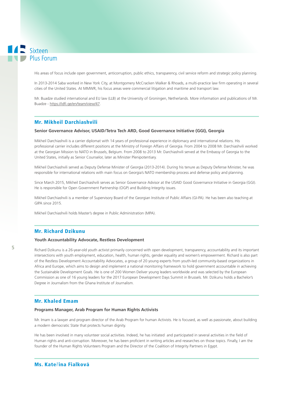His areas of focus include open government, anticorruption, public ethics, transparency, civil service reform and strategic policy planning.

In 2013-2014 Saba worked in New York City, at Montgomery McCracken Walker & Rhoads, a multi-practice law firm operating in several cities of the United States. At MMWR, his focus areas were commercial litigation and maritime and transport law.

Mr. Buadze studied international and EU law (LLB) at the University of Groningen, Netherlands. More information and publications of Mr. Buadze - https://idfi.ge/en/team/view/47.

# Mr. Mikheil Darchiashvili

#### **Senior Governance Advisor, USAID/Tetra Tech ARD, Good Governance Initiative (GGI), Georgia**

Mikheil Darchiashvili is a carrier diplomat with 14 years of professional experience in diplomacy and international relations. His professional carrier includes different positions at the Ministry of Foreign Affairs of Georgia. From 2004 to 2008 Mr. Darchiashvili worked at the Georgian Mission to NATO in Brussels, Belgium. From 2008 to 2013 Mr. Darchiashvili served at the Embassy of Georgia to the United States, initially as Senior Counselor, later as Minister Plenipotentiary.

Mikheil Darchiashvili served as Deputy Defense Minister of Georgia (2013-2014). During his tenure as Deputy Defense Minister, he was responsible for international relations with main focus on Georgia's NATO membership process and defense policy and planning.

Since March 2015, Mikheil Darchiashvili serves as Senior Governance Advisor at the USAID Good Governance Initiative in Georgia (GGI). He is responsible for Open Government Partnership (OGP) and Building Integrity issues.

Mikheil Darchiashvili is a member of Supervisory Board of the Georgian Institute of Public Affairs (GI-PA). He has been also teaching at GIPA since 2015.

Mikheil Darchiashvili holds Master's degree in Public Administration (MPA).

# Mr. Richard Dzikunu

#### **Youth Accountability Advocate, Restless Development**

Richard Dzikunu is a 26-year-old youth activist primarily concerned with open development, transparency, accountability and its important intersections with youth employment, education, health, human rights, gender equality and women's empowerment. Richard is also part of the Restless Development Accountability Advocates, a group of 20 young experts from youth-led community-based organizations in Africa and Europe, which aims to design and implement a national monitoring framework to hold government accountable in achieving the Sustainable Development Goals. He is one of 200 Women Deliver young leaders worldwide and was selected by the European Commission as one of 16 young leaders for the 2017 European Development Days Summit in Brussels. Mr. Dzikunu holds a Bachelor's Degree in Journalism from the Ghana Institute of Journalism.

#### Mr. Khaled Emam

#### **Programs Manager, Arab Program for Human Rights Activists**

Mr. Imam is a lawyer and program director of the Arab Program for human Activists. He is focused, as well as passionate, about building a modern democratic State that protects human dignity.

He has been involved in many volunteer social activities. Indeed, he has initiated and participated in several activities in the field of Human rights and anti-corruption. Moreover, he has been proficient in writing articles and researches on those topics. Finally, I am the founder of the Human Rights Volunteers Program and the Director of the Coalition of Integrity Partners in Egypt.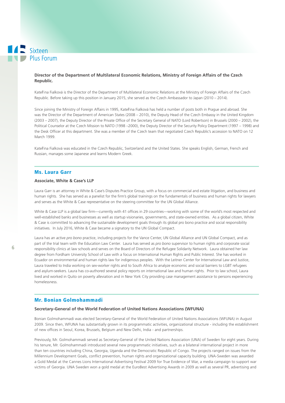### **Director of the Department of Multilateral Economic Relations, Ministry of Foreign Affairs of the Czech Republic.**

Kateřina Fialková is the Director of the Department of Multilateral Economic Relations at the Ministry of Foreign Affairs of the Czech Republic. Before taking up this position in January 2015, she served as the Czech Ambassador to Japan (2010 – 2014).

Since joining the Ministry of Foreign Affairs in 1995, Kateřina Fialková has held a number of posts both in Prague and abroad. She was the Director of the Department of American States (2008 – 2010), the Deputy Head of the Czech Embassy in the United Kingdom (2003 – 2007), the Deputy Director of the Private Office of the Secretary General of NATO (Lord Robertson) in Brussels (2000 – 2002), the Political Counselor at the Czech Mission to NATO (1998 –2000), the Deputy Director of the Security Policy Department (1997 – 1998) and the Desk Officer at this department. She was a member of the Czech team that negotiated Czech Republic's accession to NATO on 12 March 1999.

Kateřina Fialková was educated in the Czech Republic, Switzerland and the United States. She speaks English, German, French and Russian, manages some Japanese and learns Modern Greek.

### Ms. Laura Garr

### **Associate, White & Case's LLP**

Laura Garr is an attorney in White & Case's Disputes Practice Group, with a focus on commercial and estate litigation, and business and human rights. She has served as a panelist for the firm's global trainings on the fundamentals of business and human rights for lawyers and serves as the White & Case representative on the steering committee for the UN Global Alliance.

White & Case LLP is a global law firm—currently with 41 offices in 29 countries—working with some of the world's most respected and well-established banks and businesses as well as startup visionaries, governments, and state-owned entities. As a global citizen, White & Case is committed to advancing the sustainable development goals through its global pro bono practice and social responsibility initiatives. In July 2016, White & Case became a signatory to the UN Global Compact.

Laura has an active *pro bono* practice, including projects for the Vance Center, UN Global Alliance and UN Global Compact, and as part of the trial team with the Education Law Center. Laura has served as *pro bono* supervisor to human rights and corporate social responsibility clinics at law schools and serves on the Board of Directors of the Refugee Solidarity Network. Laura obtained her law degree from Fordham University School of Law with a focus on International Human Rights and Public Interest. She has worked in Ecuador on environmental and human rights law for indigenous peoples. With the Leitner Center for International Law and Justice, Laura traveled to India working on sex-worker rights and to South Africa to analyze economic and social barriers to LGBT refugees and asylum-seekers. Laura has co-authored several policy reports on international law and human rights. Prior to law school, Laura lived and worked in Quito on poverty alleviation and in New York City providing case management assistance to persons experiencing homelessness.

#### Mr. Bonian Golmohammadi

#### **Secretary-General of the World Federation of United Nations Associations (WFUNA)**

Bonian Golmohammadi was elected Secretary-General of the World Federation of United Nations Associations (WFUNA) in August 2009. Since then, WFUNA has substantially grown in its programmatic activities, organizational structure - including the establishment of new offices in Seoul, Korea, Brussels, Belgium and New Delhi, India - and partnerships.

Previously, Mr. Golmohammadi served as Secretary-General of the United Nations Association (UNA) of Sweden for eight years. During his tenure, Mr. Golmohammadi introduced several new programmatic initiatives, such as a bilateral international project in more than ten countries including China, Georgia, Uganda and the Democratic Republic of Congo. The projects ranged on issues from the Millennium Development Goals, conflict prevention, human rights and organizational capacity building. UNA-Sweden was awarded a Gold Medal at the Cannes Lions International Advertising Festival 2009 for True Evidence of War, a media campaign to support war victims of Georgia. UNA Sweden won a gold medal at the EuroBest Advertising Awards in 2009 as well as several PR, advertising and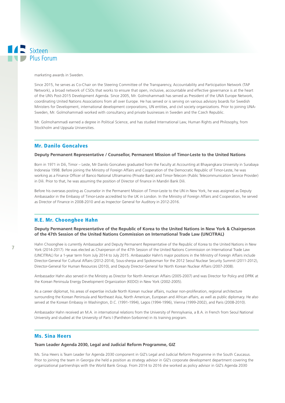#### marketing awards in Sweden.

Since 2015, he serves as Co-Chair on the Steering Committee of the Transparency, Accountability and Participation Network (TAP Network), a broad network of CSOs that works to ensure that open, inclusive, accountable and effective governance is at the heart of the UN's Post-2015 Development Agenda. Since 2005, Mr. Golmohammadi has served as President of the UNA Europe Network, coordinating United Nations Associations from all over Europe. He has served or is serving on various advisory boards for Swedish Ministers for Development, international development corporations, UN entities, and civil society organizations. Prior to joining UNA-Sweden, Mr. Golmohammadi worked with consultancy and private businesses in Sweden and the Czech Republic.

Mr. Golmohammadi earned a degree in Political Science, and has studied International Law, Human Rights and Philosophy, from Stockholm and Uppsala Universities.

# Mr. Danilo Goncalves

#### **Deputy Permanent Representative / Counsellor, Permanent Mission of Timor-Leste to the United Nations**

Born in 1971 in Dili, Timor – Leste, Mr Danilo Goncalves graduated from the Faculty at Accounting at Bhayangkara University in Surabaya Indonesia 1998. Before joining the Ministry of Foreign Affairs and Cooperation of the Democratic Republic of Timor-Leste, he was working as a Finance Officer of Banco National Ultramarino (Private Bank) and Timor-Telecom (Public Telecommunication Service Provider) in Dili. Prior to that, he was assuming the position of Director of finance in Mandiri Bank Dili.

Before his overseas posting as Counselor in the Permanent Mission of Timor-Leste to the UN in New York, he was assigned as Deputy Ambassador in the Embassy of Timor-Leste accredited to the UK in London. In the Ministry of Foreign Affairs and Cooperation, he served as Director of Finance in 2008-2010 and as Inspector General for Auditory in 2012-2016.

# H.E. Mr. Choonghee Hahn

**Deputy Permanent Representative of the Republic of Korea to the United Nations in New York & Chairperson of the 47th Session of the United Nations Commission on International Trade Law (UNCITRAL)**

Hahn Choonghee is currently Ambassador and Deputy Permanent Representative of the Republic of Korea to the United Nations in New York (2014-2017). He was elected as Chairperson of the 47th Session of the United Nations Commission on International Trade Law (UNCITRAL) for a 1-year term from July 2014 to July 2015. Ambassador Hahn's major positions in the Ministry of Foreign Affairs include Director-General for Cultural Affairs (2012-2014), Sous-sherpa and Spokesman for the 2012 Seoul Nuclear Security Summit (2011-2012), Director-General for Human Resources (2010), and Deputy Director-General for North Korean Nuclear Affairs (2007-2008).

Ambassador Hahn also served in the Ministry as Director for North American Affairs (2005-2007) and was Director for Policy and DPRK at the Korean Peninsula Energy Development Organization (KEDO) in New York (2002-2005).

As a career diplomat, his areas of expertise include North Korean nuclear affairs, nuclear non-proliferation, regional architecture surrounding the Korean Peninsula and Northeast Asia, North American, European and African affairs, as well as public diplomacy. He also served at the Korean Embassy in Washington, D.C. (1991-1994), Lagos (1994-1996), Vienna (1999-2002), and Paris (2008-2010).

Ambassador Hahn received an M.A. in international relations from the University of Pennsylvania, a B.A. in French from Seoul National University and studied at the University of Paris I (Panthéon-Sorbonne) in its training program.

# Ms. Sina Heers

#### **Team Leader Agenda 2030, Legal and Judicial Reform Programme, GIZ**

Ms. Sina Heers is Team Leader for Agenda 2030 component in GIZ's Legal and Judicial Reform Programme in the South Caucasus. Prior to joining the team in Georgia she held a position as strategy advisor in GIZ's corporate development department covering the organizational partnerships with the World Bank Group. From 2014 to 2016 she worked as policy advisor in GIZ's Agenda 2030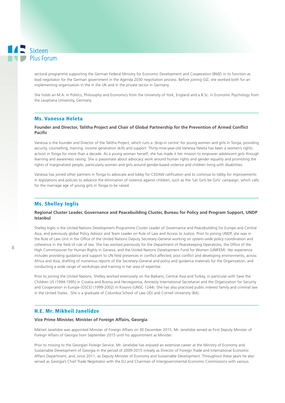sectoral programme supporting the German Federal Ministry for Economic Development and Cooperation (BMZ) in its function as lead negotiator for the German government in the Agenda 2030 negotiation process. Before joining GIZ, she worked both for an implementing organization in the in the UK and in the private sector in Germany.

She holds an M.A. in Politics, Philosophy and Economics from the University of York, England and a B.Sc. in Economic Psychology from the Leuphana University, Germany.

# Ms. Vanessa Heleta

#### **Founder and Director, Talitha Project and Chair of Global Partnership for the Prevention of Armed Conflict Pacific**

Vanessa is the founder and Director of the Talitha Project, which runs a 'drop-in centre' for young women and girls in Tonga, providing security, counselling, training, income generation skills and support. Thirty-nine-year-old Vanessa Heleta has been a women's rights activist in Tonga for more than a decade. As a young woman herself, she has made it her mission to empower adolescent girls through learning and awareness raising. She is passionate about advocacy work around human rights and gender equality and promoting the rights of marginalized people, particularly women and girls around gender-based violence and children living with disabilities.

Vanessa has joined other partners in Tonga to advocate and lobby for CEDAW ratification and to continue to lobby for improvements in legislations and policies to advance the elimination of violence against children, such as the 'Let Girls be Girls' campaign, which calls for the marriage age of young girls in Tonga to be raised.

# Ms. Shelley Inglis

# **Regional Cluster Leader, Governance and Peacebuilding Cluster, Bureau for Policy and Program Support, UNDP Istanbul**

Shelley Inglis is the United Nations Development Programme Cluster Leader of Governance and Peacebuilding for Europe and Central Asia, and previously global Policy Advisor and Team Leader on Rule of Law and Access to Justice. Prior to joining UNDP, she was in the Rule of Law Unit in the Office of the United Nations Deputy Secretary-General working on system-wide policy coordination and coherence in the field of rule of law. She has worked previously for the Department of Peacekeeping Operations, the Office of the High Commissioner for Human Rights in Geneva, and the United Nations Development Fund for Women (UNIFEM). Her experience includes providing guidance and support to UN field presences in conflict-affected, post conflict and developing environments, across Africa and Asia, drafting of numerous reports of the Secretary-General and policy and guidance materials for the Organization, and conducting a wide range of workshops and training in her area of expertise.

Prior to joining the United Nations, Shelley worked extensively on the Balkans, Central Asia and Turkey, in particular with Save the Children US (1994-1995) in Croatia and Bosnia and Herzegovina, Amnesty International Secretariat and the Organization for Security and Cooperation in Europe (OSCE) (1999-2002) in Kosovo (UNSC 1244). She has also practiced public interest family and criminal law in the United States. She is a graduate of Columbia School of Law (JD) and Cornell University (BA).

# H.E. Mr. Mikheil Janelidze

#### **Vice Prime Minister, Minister of Foreign Affairs, Georgia**

Mikheil Janelidze was appointed Minister of Foreign Affairs on 30 December 2015. Mr. Janelidze served as First Deputy Minister of Foreign Affairs of Georgia from September 2015 until his appointment as Minister.

Prior to moving to the Georgian Foreign Service, Mr. Janelidze has enjoyed an extensive career at the Ministry of Economy and Sustainable Development of Georgia in the period of 2009-2015 initially as Director of Foreign Trade and International Economic Affairs Department, and, since 2011, as Deputy Minister of Economy and Sustainable Development. Throughout these years he also served as Georgia's Chief Trade Negotiator with the EU and Chairman of Intergovernmental Economic Commissions with various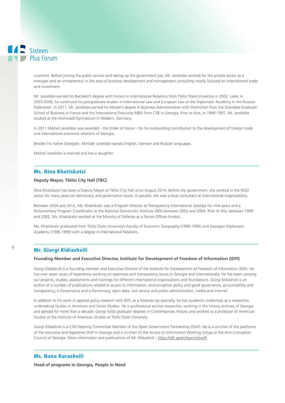countries. Before joining the public service and taking up the government job, Mr. Janelidze worked for the private sector as a manager and an entrepreneur in the area of business development and management consulting mostly focused on international trade and investment.

Mr. Janelidze earned his Bachelor's degree with honors in International Relations from Tbilisi State University in 2002. Later, in 2003-2006, he continued his postgraduate studies in International Law and European Law at the Diplomatic Academy in the Russian Federation. In 2011, Mr. Janelidze earned his Master's degree in Business Administration with Distinction from the Grenoble Graduate School of Business in France and the International Executive MBA from CSB in Georgia. Prior to that, in 1996-1997, Mr. Janelidze studied at the Hochwald Gymnasium in Wadern, Germany.

In 2011 Mikheil Janelidze was awarded - the Order of Honor - for his outstanding contribution to the development of foreign trade and international economic relations of Georgia.

Besides his native Georgian, Minister Janelidze speaks English, German and Russian languages.

Mikheil Janelidze is married and has a daughter.

# Ms. Nina Khatiskatsi

### **Deputy Mayor, Tbilisi City Hall (TBC)**

Nina Khatiskatsi has been a Deputy Mayor at Tbilisi City Hall since August 2014. Before city government, she worked in the NGO sector for many years on democracy and governance issues. In parallel, she was a local consultant at International organizations.

Between 2004 and 2012, Ms. Khatiskatsi was a Program Director at Transparency International Georgia for nine years and a Parliamentary Program Coordinator at the National Democratic Institute (NDI) between 2002 and 2004. Prior to this, between 1999 and 2002, Ms. Khatiskatsi worked at the Ministry of Defense as a Senior Officer-Analyst.

Ms. Khatiskatsi graduated from Tbilisi State University's Faculty of Economic Geography (1990-1995) and Georgian Diplomatic Academy (1996-1999) with a degree in International Relations.

# Mr. Giorgi Kldiashvili

#### **Founding Member and Executive Director, Institute for Development of Freedom of Information (IDFI)**

Giorgi Kldiashvili is a founding member and Executive Director of the Institute for Development of Freedom of Information (IDFI). He has over seven years of experience working on openness and transparency issues in Georgia and internationally. He has been carrying out projects, studies, assessments and trainings for different international organizations and foundations. Giorgi Kldiashvili is an author of a number of publications related to access to information, anticorruption policy and good governance, accountability and transparency, e-Governance and e-Democracy, open data, civil service and public administration, media and internet.

In addition to his work in applied policy research with IDFI, as a historian by specialty, he has academic credentials as a researcher, undertaking studies in American and Soviet Studies. He is professional archive researcher, working in the history archives of Georgia and abroad for more than a decade. Giorgi holds graduate degrees in Contemporary History and worked as a professor of American Studies at the Institute of American Studies at Tbilisi State University.

Giorgi Kldiashvili is a CSO Steering Committee Member of the Open Government Partnership (OGP). He is a co-chair of the platforms of the executive and legislative OGP in Georgia and a co-chair of the Access to Information Working Group at the Anti-Corruption Council of Georgia. More information and publications of Mr. Kldiashvili - https://idfi.ge/en/team/view/9.

### Ms. Nana Kurashvili

**Head of programs in Georgia, People in Need**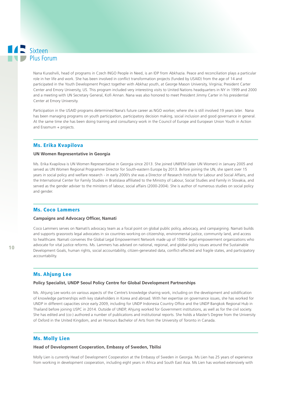Nana Kurashvili, head of programs in Czech INGO People in Need, is an IDP from Abkhazia. Peace and reconciliation plays a particular role in her life and work. She has been involved in conflict transformation projects (funded by USAID) from the age of 14 and participated in the Youth Development Project together with Abkhaz youth, at George Mason University, Virginia; President Carter Center and Emory University, US. This program included very interesting visits to United Nations headquarters in NY in 1999 and 2000 and a meeting with UN Secretary General, Kofi Annan. Nana was also honored to meet President Jimmy Carter in his presidential Center at Emory University.

Participation in the USAID programs determined Nana's future career as NGO worker, where she is still involved 19 years later. Nana has been managing programs on youth participation, participatory decision making, social inclusion and good governance in general. At the same time she has been doing training and consultancy work in the Council of Europe and European Union Youth in Action and Erasmum + projects.

# Ms. Erika Kvapilova

#### **UN Women Representative in Georgia**

Ms. Erika Kvapilova is UN Women Representative in Georgia since 2013. She joined UNIFEM (later UN Women) in January 2005 and served as UN Women Regional Programme Director for South-eastern Europe by 2013. Before joining the UN, she spent over 15 years in social policy and welfare research - in early 2000's she was a Director of Research Institute for Labour and Social Affairs, and the International Center for Family Studies in Bratislava affiliated to the Ministry of Labour, Social Studies and Family in Slovakia, and served as the gender adviser to the ministers of labour, social affairs (2000-2004). She is author of numerous studies on social policy and gender.

#### Ms. Coco Lammers

#### **Campaigns and Advocacy Officer, Namati**

Coco Lammers serves on Namati's advocacy team as a focal point on global public policy, advocacy, and campaigning. Namati builds and supports grassroots legal advocates in six countries working on citizenship, environmental justice, community land, and access to healthcare. Namati convenes the Global Legal Empowerment Network made up of 1000+ legal empowerment organizations who advocate for vital justice reforms. Ms. Lammers has advised on national, regional, and global policy issues around the Sustainable Development Goals, human rights, social accountability, citizen-generated data, conflict-affected and fragile states, and participatory accountability.

# Ms. Ahjung Lee

#### **Policy Specialist, UNDP Seoul Policy Centre for Global Development Partnerships**

Ms. Ahjung Lee works on various aspects of the Centre's knowledge sharing work, including on the development and solidification of knowledge partnerships with key stakeholders in Korea and abroad. With her expertise on governance issues, she has worked for UNDP in different capacities since early 2009, including for UNDP Indonesia Country Office and the UNDP Bangkok Regional Hub in Thailand before joining USPC in 2014. Outside of UNDP, Ahjung worked for Government institutions, as well as for the civil society. She has edited and (co-) authored a number of publications and institutional reports. She holds a Master's Degree from the University of Oxford in the United Kingdom, and an Honours Bachelor of Arts from the University of Toronto in Canada.

# Ms. Molly Lien

#### **Head of Development Cooperation, Embassy of Sweden, Tbilisi**

Molly Lien is currently Head of Development Cooperation at the Embassy of Sweden in Georgia. Ms Lien has 25 years of experience from working in development cooperation, including eight years in Africa and South East Asia. Ms Lien has worked extensively with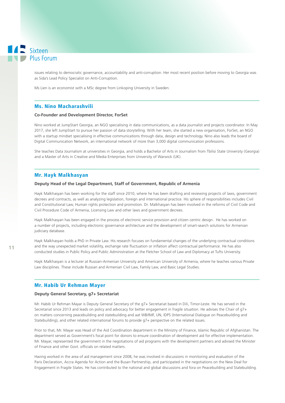issues relating to democratic governance, accountability and anti-corruption. Her most recent position before moving to Georgia was as Sida's Lead Policy Specialist on Anti-Corruption.

Ms Lien is an economist with a MSc degree from Linkoping University in Sweden.

### Ms. Nino Macharashvili

#### **Co-Founder and Development Director, ForSet**

Nino worked at JumpStart Georgia, an NGO specialising in data communications, as a data journalist and projects coordinator. In May 2017, she left JumpStart to pursue her passion of data storytelling. With her team, she started a new organisation, ForSet, an NGO with a startup mindset specialising in effective communications through data, design and technology. Nino also leads the board of Digital Communication Network, an international network of more than 3,000 digital communication professions.

She teaches Data Journalism at universities in Georgia, and holds a Bachelor of Arts in Journalism from Tbilisi State University (Georgia) and a Master of Arts in Creative and Media Enterprises from University of Warwick (UK).

# Mr. Hayk Malkhasyan

#### **Deputy Head of the Legal Department, Staff of Government, Republic of Armenia**

Hayk Malkhasyan has been working for the staff since 2010, where he has been drafting and reviewing projects of laws, government decrees and contracts, as well as analyzing legislation, foreign and international practice. His sphere of responsibilities includes Civil and Constitutional Law, Human rights protection and promotion. Dr. Malkhasyan has been involved in the reforms of Civil Code and Civil Procedure Code of Armenia, Licensing Law and other laws and government decrees.

Hayk Malkhasyan has been engaged in the process of electronic service provision and citizen centric design. He has worked on a number of projects, including electronic governance architecture and the development of smart-search solutions for Armenian judiciary database.

Hayk Malkhasyan holds a PhD in Private Law. His research focuses on fundamental changes of the underlying contractual conditions and the way unexpected market volatility, exchange rate fluctuation or inflation affect contractual performance. He has also conducted studies in Public Policy and Public Administration at the Fletcher School of Law and Diplomacy at Tufts University.

Hayk Malkhasyan is a lecturer at Russian-Armenian University and American University of Armenia, where he teaches various Private Law disciplines. These include Russian and Armenian Civil Law, Family Law, and Basic Legal Studies.

# Mr. Habib Ur Rehman Mayer

#### **Deputy General Secretary, g7+ Secretariat**

Mr. Habib Ur Rehman Mayar is Deputy General Secretary of the g7+ Secretariat based in Dili, Timor-Leste. He has served in the Secretariat since 2013 and leads on policy and advocacy for better engagement in fragile situation. He advises the Chair of g7+ on matters concerning peacebuilding and statebuilding and aat WB/IMF, UN, IDPS (International Dialogue on Peacebuilding and Statebuilding), and other related international forums to provide g7+ perspective on the related issues.

Prior to that, Mr. Mayar was Head of the Aid Coordination department in the Ministry of Finance, Islamic Republic of Afghanistan. The department served as Government's focal point for donors to ensure coordination of development aid for effective implementation. Mr. Mayar, represented the government in the negotiations of aid programs with the development partners and advised the Minister of Finance and other Govt. officials on related matters.

Having worked in the area of aid management since 2008, he was involved in discussions in monitoring and evaluation of the Paris Declaration, Accra Agenda for Action and the Busan Partnership, and participated in the negotiations on the New Deal for Engagement in Fragile States. He has contributed to the national and global discussions and fora on Peacebuilding and Statebuilding.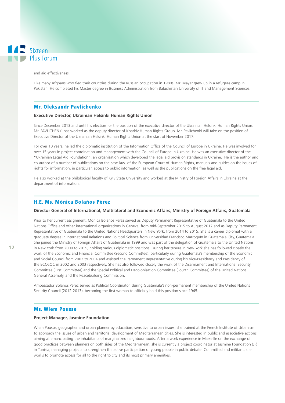and aid effectiveness.

Like many Afghans who fled their countries during the Russian occupation in 1980s, Mr. Mayar grew up in a refugees camp in Pakistan. He completed his Master degree in Business Administration from Baluchistan University of IT and Management Sciences.

# Mr. Oleksandr Pavlichenko

#### **Executive Director, Ukrainian Helsinki Human Rights Union**

Since December 2013 and until his election for the position of the executive director of the Ukrainian Helsinki Human Rights Union, Mr. PAVLICHENKI has worked as the deputy director of Kharkiv Human Rights Group. Mr. Pavlichenki will take on the position of Executive Director of the Ukrainian Helsinki Human Rights Union at the start of November 2017.

For over 10 years, he led the diplomatic institution of the Information Office of the Council of Europe in Ukraine. He was involved for over 15 years in project coordination and management with the Council of Europe in Ukraine. He was an executive director of the "Ukrainian Legal Aid Foundation", an organisation which developed the legal aid provision standards in Ukraine. He is the author and co-author of a number of publications on the case-law of the European Court of Human Rights, manuals and guides on the issues of rights for information, in particular, access to public information, as well as the publications on the free legal aid.

He also worked at the philological faculty of Kyiv State University and worked at the Ministry of Foreign Affairs in Ukraine at the department of information.

# H.E. Ms. Mónica Bolaños Pérez

#### **Director General of International, Multilateral and Economic Affairs, Ministry of Foreign Affairs, Guatemala**

Prior to her current assignment, Monica Bolanos Perez served as Deputy Permanent Representative of Guatemala to the United Nations Office and other international organizations in Geneva, from mid-September 2015 to August 2017 and as Deputy Permanent Representative of Guatemala to the United Nations Headquarters in New York, from 2014 to 2015. She is a career diplomat with a graduate degree in International Relations and Political Science from Universidad Francisco MarroquIn in Guatemala City, Guatemala. She joined the Ministry of Foreign Affairs of Guatemala in 1999 and was part of the delegation of Guatemala to the United Nations in New York from 2000 to 2015, holding various diplomatic positions. During her tenure in New York she has followed closely the work of the Economic and Financial Committee (Second Committee), particularly during Guatemala's membership of the Economic and Social Council from 2002 to 2004 and assisted the Permanent Representative during his Vice-Presidency and Presidency of the ECOSOC in 2002 and 2003 respectively. She has also followed closely the work of the Disarmament and International Security Committee (First Committee) and the Special Political and Decolonisation Committee (Fourth Committee) of the United Nations General Assembly, and the Peacebuilding Commission.

Ambassador Bolanos Perez served as Political Coordinator, during Guatemala's non-permanent membership of the United Nations Security Council (2012-2013), becoming the first woman to officially hold this position since 1945.

#### Ms. Wiem Pousse

#### **Project Manager, Jasmine Foundation**

Wiem Pousse, geographer and urban planner by education, sensitive to urban issues, she trained at the French Institute of Urbanism to approach the issues of urban and territorial development of Mediterranean cities. She is interested in public and associative actions aiming at emancipating the inhabitants of marginalized neighbourhoods. After a work experience in Marseille on the exchange of good practices between planners on both sides of the Mediterranean, she is currently a project coordinator at Jasmine Foundation (JF) in Tunisia, managing projects to strengthen the active participation of young people in public debate. Committed and militant, she works to promote access for all to the right to city and its most primary amenities.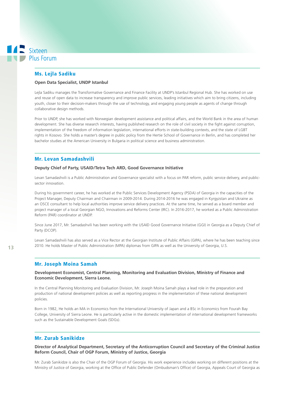### Ms. Lejla Sadiku

#### **Open Data Specialist, UNDP Istanbul**

Lejla Sadiku manages the Transformative Governance and Finance Facility at UNDP's Istanbul Regional Hub. She has worked on use and reuse of open data to increase transparency and improve public services, leading initiatives which aim to bring citizens, including youth, closer to their decision-makers through the use of technology, and engaging young people as agents of change through collaborative design methods.

Prior to UNDP, she has worked with Norwegian development assistance and political affairs, and the World Bank in the area of human development. She has diverse research interests, having published research on the role of civil society in the fight against corruption, implementation of the freedom of information legislation, international efforts in state-building contexts, and the state of LGBT rights in Kosovo. She holds a master's degree in public policy from the Hertie School of Governance in Berlin, and has completed her bachelor studies at the American University in Bulgaria in political science and business administration.

# Mr. Levan Samadashvili

#### **Deputy Chief of Party, USAID/Tetra Tech ARD, Good Governance Initiative**

Levan Samadashvili is a Public Administration and Governance specialist with a focus on PAR reform, public service delivery, and publicsector innovation.

During his government career, he has worked at the Public Services Development Agency (PSDA) of Georgia in the capacities of the Project Manager, Deputy Chairman and Chairman in 2009-2014. During 2014-2016 he was engaged in Kyrgyzstan and Ukraine as an OSCE consultant to help local authorities improve service delivery practices. At the same time, he served as a board member and project manager of a local Georgian NGO, Innovations and Reforms Center (IRC). In 2016-2017, he worked as a Public Administration Reform (PAR) coordinator at UNDP.

Since June 2017, Mr. Samadashvili has been working with the USAID Good Governance Initiative (GGI) in Georgia as a Deputy Chief of Party (DCOP).

Levan Samadashvili has also served as a Vice Rector at the Georgian Institute of Public Affairs (GIPA), where he has been teaching since 2010. He holds Master of Public Administration (MPA) diplomas from GIPA as well as the University of Georgia, U.S.

# Mr. Joseph Moina Samah

### **Development Economist, Central Planning, Monitoring and Evaluation Division, Ministry of Finance and Economic Development, Sierra Leone.**

In the Central Planning Monitoring and Evaluation Division, Mr. Joseph Moina Samah plays a lead role in the preparation and production of national development policies as well as reporting progress in the implementation of these national development policies.

Born in 1982, He holds an MA in Economics from the International University of Japan and a BSc in Economics from Fourah Bay College, University of Sierra Leone. He is particularly active in the domestic implementation of international development frameworks such as the Sustainable Development Goals (SDGs).

# Mr. Zurab Sanikidze

### **Director of Analytical Department, Secretary of the Anticorruption Council and Secretary of the Criminal Justice Reform Council, Chair of OGP Forum, Ministry of Justice, Georgia**

Mr. Zurab Sanikidze is also the Chair of the OGP Forum of Georgia. His work experience includes working on different positions at the Ministry of Justice of Georgia, working at the Office of Public Defender (Ombudsman's Office) of Georgia, Appeals Court of Georgia as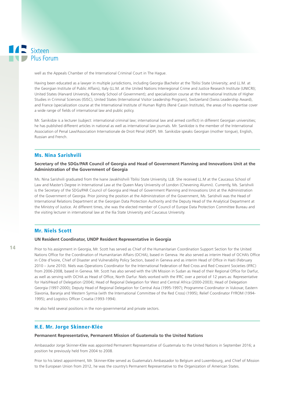well as the Appeals Chamber of the International Criminal Court in The Hague.

Having been educated as a lawyer in multiple jurisdictions, including Georgia (Bachelor at the Tbilisi State University; and LL.M. at the Georgian Institute of Public Affairs), Italy (LL.M. at the United Nations Interregional Crime and Justice Research Institute (UNICRI); United States (Harvard University, Kennedy School of Government); and specialization course at the International Institute of Higher Studies in Criminal Sciences (ISISC), United States (International Visitor Leadership Program), Switzerland (Swiss Leadership Award), and France (specialization course at the International Institute of Human Rights (René Cassin Institute), the areas of his expertise cover a wide range of fields of international law and public policy.

Mr. Sanikidze is a lecturer (subject: international criminal law; international law and armed conflict) in different Georgian universities; he has published different articles in national as well as international law journals. Mr. Sanikidze is the member of the International Association of Penal Law/Association Internationale de Droit Pénal (AIDP). Mr. Sanikidze speaks Georgian (mother tongue), English, Russian and French.

# Ms. Nina Sarishvili

### **Secretary of the SDGs/PAR Council of Georgia and Head of Government Planning and Innovations Unit at the Administration of the Government of Georgia**

Ms. Nina Sarishvili graduated from the Ivane Javakhishvili Tbilisi State University, LLB. She received LL.M at the Caucasus School of Law and Master's Degree in International Law at the Queen Mary University of London (Chevening Alumni). Currently, Ms. Sarishvili is the Secretary of the SDGs/PAR Council of Georgia and Head of Government Planning and Innovations Unit at the Administration of the Government of Georgia. Prior joining the position at the Administration of the Government, Ms. Sarishvili was the Head of International Relations Department at the Georgian Data Protection Authority and the Deputy Head of the Analytical Department at the Ministry of Justice. At different times, she was the elected member of Council of Europe Data Protection Committee Bureau and the visiting lecturer in international law at the Ilia State University and Caucasus University.

# Mr. Niels Scott

#### **UN Resident Coordinator, UNDP Resident Representative in Georgia**

Prior to his assignment in Georgia, Mr. Scott has served as Chief of the Humanitarian Coordination Support Section for the United Nations Office for the Coordination of Humanitarian Affairs (OCHA), based in Geneva. He also served as interim Head of OCHA's Office in Côte d'Ivoire, Chief of Disaster and Vulnerability Policy Section, based in Geneva and as interim Head of Office in Haiti (February 2010 – June 2010). Niels was Operations Coordinator for the International Federation of Red Cross and Red Crescent Societies (IFRC) from 2006-2008, based in Geneva. Mr. Scott has also served with the UN Mission in Sudan as Head of their Regional Office for Darfur, as well as serving with OCHA as Head of Office, North Darfur. Niels worked with the IFRC over a period of 12 years as: Representative for Haiti/Head of Delegation (2004); Head of Regional Delegation for West and Central Africa (2000-2003); Head of Delegation Georgia (1997-2000); Deputy Head of Regional Delegation for Central Asia (1995-1997); Programme Coordinator in Vukovar, Eastern Slavonia, Baranja and Western Syrmia (with the International Committee of the Red Cross) (1995); Relief Coordinator FYROM (1994- 1995); and Logistics Officer Croatia (1993-1994).

He also held several positions in the non-governmental and private sectors.

# H.E. Mr. Jorge Skinner-Klée

#### **Permanent Representative, Permanent Mission of Guatemala to the United Nations**

Ambassador Jorge Skinner-Klée was appointed Permanent Representative of Guatemala to the United Nations in September 2016; a position he previously held from 2004 to 2008.

Prior to his latest appointment, Mr. Skinner-Klée served as Guatemala's Ambassador to Belgium and Luxembourg, and Chief of Mission to the European Union from 2012, he was the country's Permanent Representative to the Organization of American States.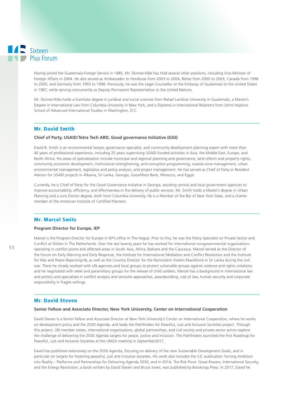Having joined the Guatemala Foreign Service in 1985, Mr. Skinner-Klée has held several other positions, including Vice-Minister of Foreign Affairs in 2004. He also served as Ambassador to Honduras from 2003 to 2004, Belize from 2000 to 2003, Canada from 1998 to 2000, and Germany from 1993 to 1998. Previously, he was the Legal Counsellor at the Embassy of Guatemala to the United States in 1987, while serving concurrently as Deputy Permanent Representative to the United Nations.

Mr. Skinner-Klée holds a licentiate degree in juridical and social sciences from Rafael Landivar University in Guatemala, a Master's Degree in International Law from Columbia University in New York, and a Diploma in International Relations from Johns Hopkins School of Advanced International Studies in Washington, D.C.

# Mr. David Smith

#### **Chief of Party, USAID/Tetra Tech ARD, Good governance Initiative (GGI)**

David B. Smith is an environmental lawyer, governance specialist, and community development planning expert with more than 40 years of professional experience, including 25 years supervising USAID-funded activities in Asia, the Middle East, Europe, and North Africa. His areas of specialization include municipal and regional planning and governance, land reform and property rights, community economic development, institutional strengthening, anti-corruption programming, coastal zone management, urban environmental management, legislative and policy analysis, and project management. He has served as Chief of Party or Resident Advisor for USAID projects in Albania, Sri Lanka, Georgia, Gaza/West Bank, Morocco, and Egypt.

Currently, he is Chief of Party for the Good Governance Initiative in Georgia, assisting central and local government agencies to improve accountability, efficiency, and effectiveness in the delivery of public services. Mr. Smith holds a Master's degree in Urban Planning and a Juris Doctor degree, both from Columbia University. He is a Member of the Bar of New York State, and a charter member of the American Institute of Certified Planners.

# Mr. Marcel Smits

#### **Program Director for Europe, IEP**

Marcel is the Program Director for Europe in IEP's office in The Hague. Prior to this, he was the Policy Specialist on Private Sector and Conflict at Oxfam in The Netherlands. Over the last twenty years he has worked for international nongovernmental organizations operating in conflict prone and affected areas in South Asia, Africa, Balkans and the Caucasus. Marcel served as the Director of the Forum on Early Warning and Early Response, the Institute for International Mediation and Conflict Resolution and the Institute for War and Peace Reporting-NL as well as the Country Director for the Nonviolent Violent Peaceforce in Sri Lanka during the civil war. There he closely worked with UN agencies and local groups to protect vulnerable groups against violence and rights violations and he negotiated with rebel and paramilitary groups for the release of child soldiers. Marcel has a background in international law and politics and specializes in conflict analysis and sensivite approaches, peacebuilding, rule of law, human security and corporate responsibility in fragile settings.

#### Mr. David Steven

#### **Senior Fellow and Associate Director, New York University, Center on International Cooperation**

David Steven is a Senior Fellow and Associate Director at New York University's Center on International Cooperation, where he works on development policy and the 2030 Agenda, and leads the Pathfinders for Peaceful, Just and Inclusive Societies project. Through this project, UN member states, international organizations, global partnerships, and civil society and private sector actors explore the challenge of delivering the 2030 Agenda targets for peace, justice and inclusion. The Pathfinders launched the first Roadmap for Peaceful, Just and Inclusive Societies at the UNGA meeting in September2017.

David has published extensively on the 2030 Agenda, focusing on delivery of the new Sustainable Development Goals, and in particular on targets for fostering peaceful, just and inclusive societies. His work also includes the CIC publication Turning Ambition into Reality – Platforms and Partnerships for Delivering Agenda 2030, and in 2014, The Risk Pivot: Great Powers, International Security, and the Energy Revolution, a book written by David Steven and Bruce Jones, was published by Brookings Press. In 2017, David he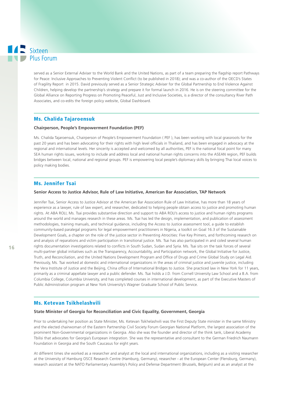served as a Senior External Adviser to the World Bank and the United Nations, as part of a team preparing the flagship report Pathways for Peace: Inclusive Approaches to Preventing Violent Conflict (to be published in 2018); and was a co-author of the OECD's States of Fragility Report in 2015. David previously served as a Senior Strategic Adviser for the Global Partnership to End Violence Against Children, helping develop the partnership's strategy and prepare it for formal launch in 2016. He is on the steering committee for the Global Alliance on Reporting Progress on Promoting Peaceful, Just and Inclusive Societies, is a director of the consultancy River Path Associates, and co-edits the foreign policy website, Global Dashboard.

# Ms. Chalida Tajaroensuk

#### **Chairperson, People's Empowerment Foundation (PEF)**

Ms. Chalida Tajaroensuk, Chairperson of People's Empowerment Foundation ( PEF ), has been working with local grassroots for the past 20 years and has been advocating for their rights with high level officials in Thailand, and has been engaged in advocacy at the regional and international levels. Her sincerity is accepted and welcomed by all authorities, PEF is the national focal point for many SEA human rights issues, working to include and address local and national human rights concerns into the ASEAN region, PEF builds bridges between local, national and regional groups. PEF is empowering local people's diplomacy skills by bringing Thai local voices to policy making bodies.

# Ms. Jennifer Tsai

#### **Senior Access to Justice Advisor, Rule of Law Initiative, American Bar Association, TAP Network**

Jennifer Tsai, Senior Access to Justice Advisor at the American Bar Association Rule of Law Initiative, has more than 18 years of experience as a lawyer, rule of law expert, and researcher, dedicated to helping people obtain access to justice and promoting human rights. At ABA ROLI, Ms. Tsai provides substantive direction and support to ABA ROLI's access to justice and human rights programs around the world and manages research in these areas. Ms. Tsai has led the design, implementation, and publication of assessment methodologies, training manuals, and technical guidance, including the Access to Justice assessment tool, a guide to establish community-based paralegal programs for legal empowerment practitioners in Nigeria, a toolkit on Goal 16.3 of the Sustainable Development Goals, a chapter on the role of the justice sector in Preventing Atrocities: Five Key Primers, and forthcoming research on and analysis of reparations and victim participation in transitional justice. Ms. Tsai has also participated in and coled several human rights documentation investigations related to conflicts in South Sudan, Sudan and Syria. Ms. Tsai sits on the task forces of several multi-partner global initiatives such as the Transparency, Accountability, and Participation network, the Global Initiative for Justice, Truth, and Reconciliation, and the United Nations Development Program and Office of Drugs and Crime Global Study on Legal Aid. Previously, Ms. Tsai worked at domestic and international organizations in the areas of criminal justice and juvenile justice, including the Vera Institute of Justice and the Beijing, China office of International Bridges to Justice. She practiced law in New York for 11 years, primarily as a criminal appellate lawyer and a public defender. Ms. Tsai holds a J.D. from Cornell University Law School and a B.A. from Columbia College, Columbia University, and has completed courses in international development, as part of the Executive Masters of Public Administration program at New York University's Wagner Graduate School of Public Service.

# Ms. Ketevan Tsikhelashvili

#### **State Minister of Georgia for Reconciliation and Civic Equality, Government, Georgia**

Prior to undertaking her position as State Minister, Ms. Ketevan Tsikhelashvili was the First Deputy State minister in the same Ministry and the elected chairwoman of the Eastern Partnership Civil Society Forum Georgian National Platform, the largest association of the prominent Non-Governmental organizations in Georgia. Also she was the founder and director of the think tank, Liberal Academy Tbilisi that advocates for Georgia's European integration. She was the representative and consultant to the German Friedrich Naumann Foundation in Georgia and the South Caucasus for eight years.

At different times she worked as a researcher and analyst at the local and international organizations, including as a visiting researcher at the University of Hamburg OSCE Research Centre (Hamburg, Germany), researcher - at the European Center (Flensburg, Germany), research assistant at the NATO Parliamentary Assembly's Policy and Defense Department (Brussels, Belgium) and as an analyst at the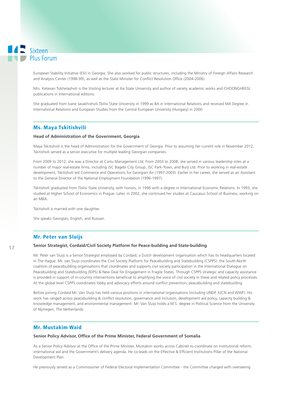European Stability Initiative (ESI) in Georgia. She also worked for public structures, including the Ministry of Foreign Affairs Research and Analysis Center (1998-99), as well as the State Minister for Conflict Resolution Office (2004-2006).

Mrs. Ketevan Tsikhelashvili is the Visiting lecturer at Ilia State University and author of variety academic works and CHOONGHEEGI publications in International editions.

She graduated from Ivane Javakhishvili Tbilisi State University in 1999 as BA in International Relations and received MA Degree in International Relations and European Studies from the Central European University (Hungary) in 2000.

# Ms. Maya Tskitishvili

#### **Head of Administration of the Government, Georgia**

Maya Tskitishvili is the head of Administration for the Government of Georgia. Prior to assuming her current role in November 2012, Tskitishvili served as a senior executive for multiple leading Georgian companies.

From 2009 to 2012, she was a Director at Cartu Management Ltd. From 2003 to 2008, she served in various leadership roles at a number of major real-estate firms, including JSC Bagebi City Group, JSC Park-Town, and Burji Ltd. Prior to working in real-estate development, Tskitishvili led Commerce and Operations for Georgian Air (1997-2003). Earlier in her career, she served as an Assistant to the General Director of the National Employment Foundation (1996-1997).

Tskitishvili graduated from Tbilisi State University, with honors, in 1996 with a degree in International Economic Relations. In 1993, she studied at Higher School of Economics in Prague. Later, in 2002, she continued her studies at Caucasus School of Business, working on an MBA.

Tskitishvili is married with one daughter.

She speaks Georgian, English, and Russian.

# Mr. Peter van Sluijs

#### **Senior Strategist, Cordaid/Civil Society Platform for Peace-building and State-building**

Mr. Peter van Sluijs is a Senior Strategist employed by Cordaid; a Dutch development organisation which has its headquarters located in The Hague. Mr. van Sluijs coordinates the Civil Society Platform for Peacebuilding and Statebuilding (CSPPS): the South-North coalition of peacebuilding organisations that coordinates and supports civil society participation in the International Dialogue on Peacebuilding and Statebuilding (IDPS) & New Deal for Engagement in Fragile States. Through CSPPS strategic and capacity assistance is provided in support of in-country interventions beneficial to amplifying the voice of civil society in these and related policy processes. At the global level CSPPS coordinates lobby and advocacy efforts around conflict prevention, peacebuilding and statebuilding.

Before joining Cordaid Mr. Van Sluijs has held various positions in international organisations (including UNDP, IUCN and WWF). His work has ranged across peacebuilding & conflict resolution, governance and inclusion, development aid policy, capacity building & knowledge management, and environmental management. Mr. Van Sluijs holds a M.S. degree in Political Science from the University of Nijmegen, The Netherlands.

# Mr. Mustakim Waid

#### **Senior Policy Advisor, Office of the Prime Minister, Federal Government of Somalia**

As a Senior Policy Advisor at the Office of the Prime Minister, Mustakim works across Cabinet to coordinate on institutional reform, international aid and the Government's delivery agenda. He co-leads on the Effective & Efficient Institutions Pillar of the National Development Plan.

He previously served as a Commissioner of Federal Electoral Implementation Committee - the Committee charged with overseeing